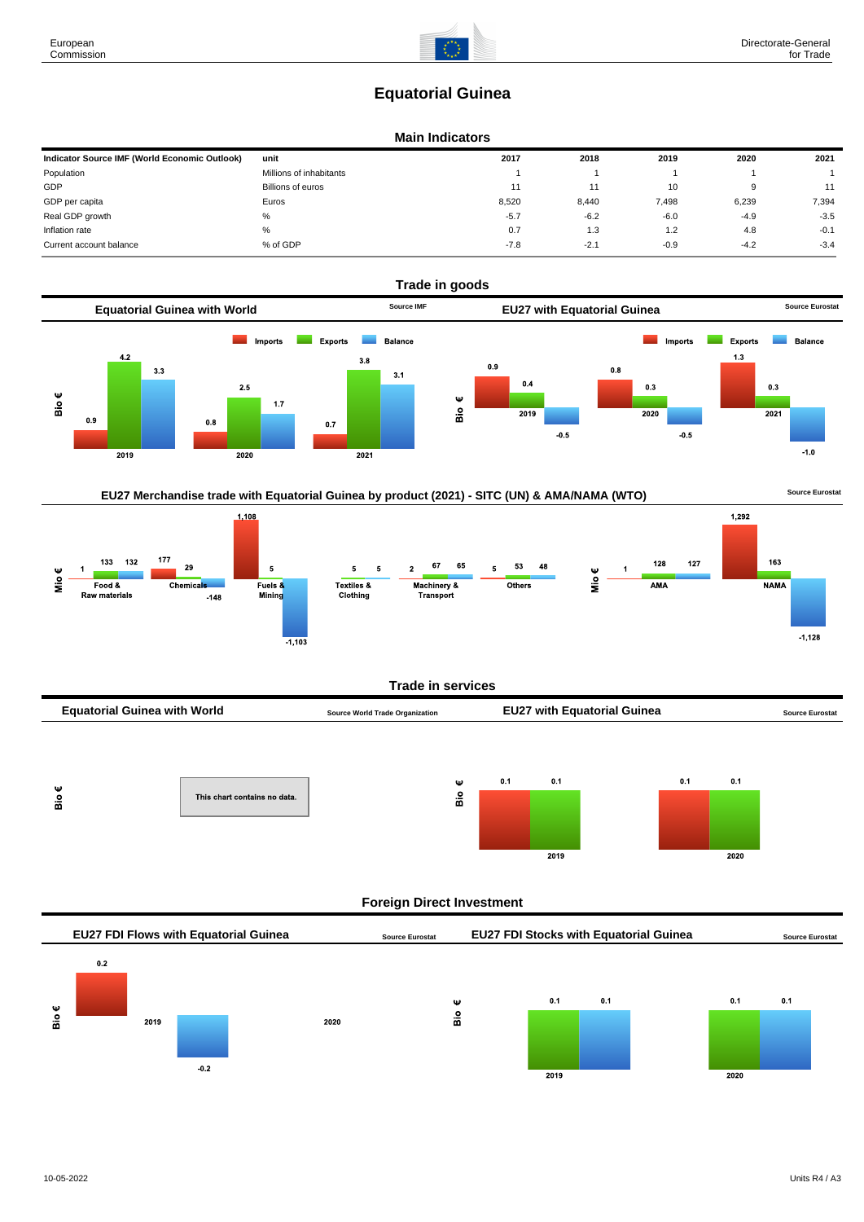# **Equatorial Guinea**

### **Main Indicators**

| Indicator Source IMF (World Economic Outlook) | unit                    | 2017   | 2018   | 2019   | 2020   | 2021   |
|-----------------------------------------------|-------------------------|--------|--------|--------|--------|--------|
| Population                                    | Millions of inhabitants |        |        |        |        |        |
| GDP                                           | Billions of euros       | 11     |        | 10     | 9      | 11     |
| GDP per capita                                | Euros                   | 8,520  | 8,440  | 7,498  | 6,239  | 7,394  |
| Real GDP growth                               | $\%$                    | $-5.7$ | $-6.2$ | $-6.0$ | $-4.9$ | $-3.5$ |
| Inflation rate                                | $\%$                    | 0.7    | 1.3    | 1.2    | 4.8    | $-0.1$ |
| Current account balance                       | % of GDP                | $-7.8$ | $-2.1$ | $-0.9$ | $-4.2$ | $-3.4$ |



## EU27 Merchandise trade with Equatorial Guinea by product (2021) - SITC (UN) & AMA/NAMA (WTO) **Source Eurostat**

 $\overline{2020}$ 



### **Trade in services**



### **Foreign Direct Investment**

 $\overline{2019}$